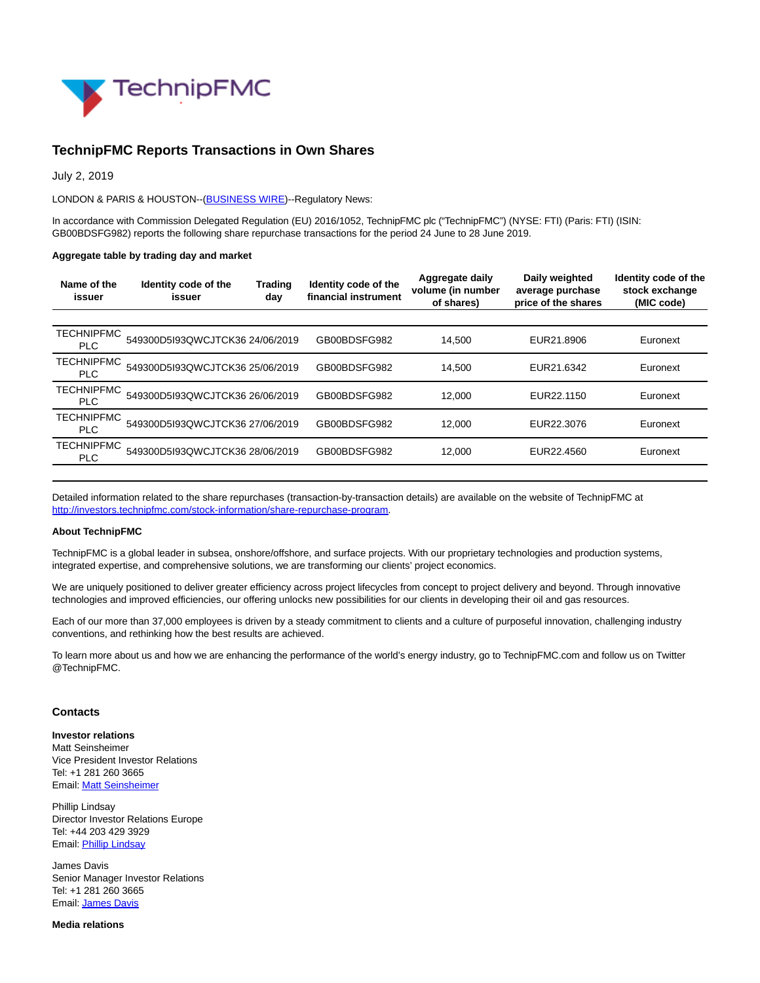

## **TechnipFMC Reports Transactions in Own Shares**

July 2, 2019

LONDON & PARIS & HOUSTON--[\(BUSINESS WIRE\)](https://www.businesswire.com/)--Regulatory News:

In accordance with Commission Delegated Regulation (EU) 2016/1052, TechnipFMC plc ("TechnipFMC") (NYSE: FTI) (Paris: FTI) (ISIN: GB00BDSFG982) reports the following share repurchase transactions for the period 24 June to 28 June 2019.

## **Aggregate table by trading day and market**

| Name of the<br>issuer           | Identity code of the<br>issuer  | <b>Trading</b><br>day | Identity code of the<br>financial instrument | Aggregate daily<br>volume (in number<br>of shares) | Daily weighted<br>average purchase<br>price of the shares | Identity code of the<br>stock exchange<br>(MIC code) |
|---------------------------------|---------------------------------|-----------------------|----------------------------------------------|----------------------------------------------------|-----------------------------------------------------------|------------------------------------------------------|
|                                 |                                 |                       |                                              |                                                    |                                                           |                                                      |
| <b>TECHNIPFMC</b><br><b>PLC</b> | 549300D5I93QWCJTCK36 24/06/2019 |                       | GB00BDSFG982                                 | 14.500                                             | EUR21,8906                                                | Euronext                                             |
| <b>TECHNIPFMC</b><br><b>PLC</b> | 549300D5I93QWCJTCK36 25/06/2019 |                       | GB00BDSFG982                                 | 14.500                                             | EUR21.6342                                                | Euronext                                             |
| <b>TECHNIPFMC</b><br><b>PLC</b> | 549300D5I93QWCJTCK36 26/06/2019 |                       | GB00BDSFG982                                 | 12.000                                             | EUR22.1150                                                | Euronext                                             |
| <b>TECHNIPFMC</b><br><b>PLC</b> | 549300D5I93QWCJTCK36 27/06/2019 |                       | GB00BDSFG982                                 | 12.000                                             | EUR22.3076                                                | Euronext                                             |
| <b>TECHNIPFMC</b><br><b>PLC</b> | 549300D5I93QWCJTCK36 28/06/2019 |                       | GB00BDSFG982                                 | 12.000                                             | EUR22.4560                                                | Euronext                                             |

Detailed information related to the share repurchases (transaction-by-transaction details) are available on the website of TechnipFMC at [http://investors.technipfmc.com/stock-information/share-repurchase-program.](https://cts.businesswire.com/ct/CT?id=smartlink&url=http%3A%2F%2Finvestors.technipfmc.com%2Fstock-information%2Fshare-repurchase-program&esheet=52008201&newsitemid=20190702005491&lan=en-US&anchor=http%3A%2F%2Finvestors.technipfmc.com%2Fstock-information%2Fshare-repurchase-program&index=1&md5=b93a7deb8ac9dd4134f7db6389cd085a)

## **About TechnipFMC**

TechnipFMC is a global leader in subsea, onshore/offshore, and surface projects. With our proprietary technologies and production systems, integrated expertise, and comprehensive solutions, we are transforming our clients' project economics.

We are uniquely positioned to deliver greater efficiency across project lifecycles from concept to project delivery and beyond. Through innovative technologies and improved efficiencies, our offering unlocks new possibilities for our clients in developing their oil and gas resources.

Each of our more than 37,000 employees is driven by a steady commitment to clients and a culture of purposeful innovation, challenging industry conventions, and rethinking how the best results are achieved.

To learn more about us and how we are enhancing the performance of the world's energy industry, go to TechnipFMC.com and follow us on Twitter @TechnipFMC.

## **Contacts**

**Investor relations** Matt Seinsheimer Vice President Investor Relations Tel: +1 281 260 3665 Email[: Matt Seinsheimer](mailto:InvestorRelations@TechnipFMC.com)

Phillip Lindsay Director Investor Relations Europe Tel: +44 203 429 3929 Email[: Phillip Lindsay](mailto:investorrelations@technipfmc.com)

James Davis Senior Manager Investor Relations Tel: +1 281 260 3665 Email[: James Davis](mailto:InvestorRelations@TechnipFMC.com)

**Media relations**